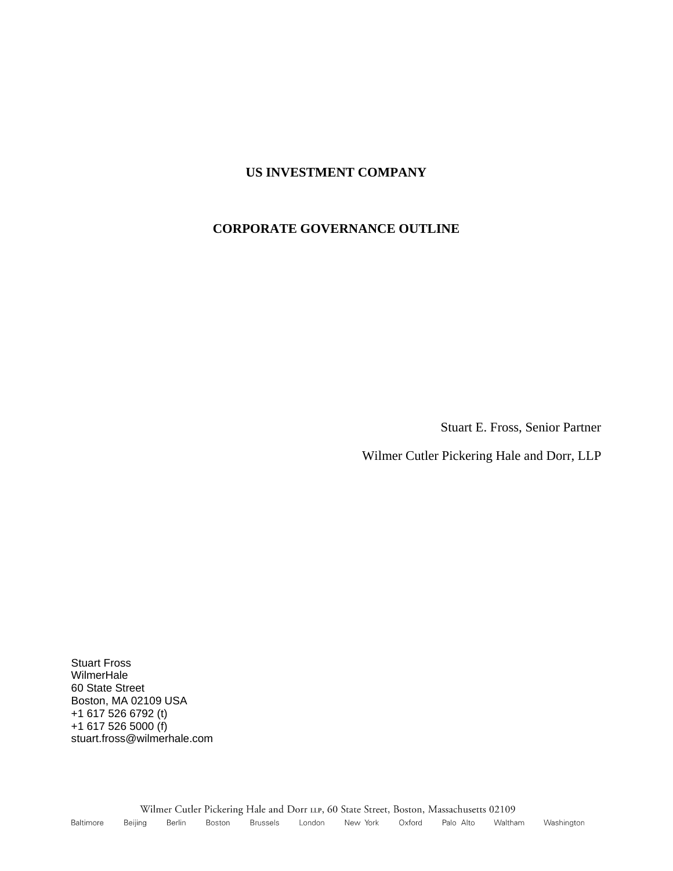### **US INVESTMENT COMPANY**

#### **CORPORATE GOVERNANCE OUTLINE**

Stuart E. Fross, Senior Partner

Wilmer Cutler Pickering Hale and Dorr, LLP

Stuart Fross WilmerHale 60 State Street Boston, MA 02109 USA +1 617 526 6792 (t) +1 617 526 5000 (f) stuart.fross@wilmerhale.com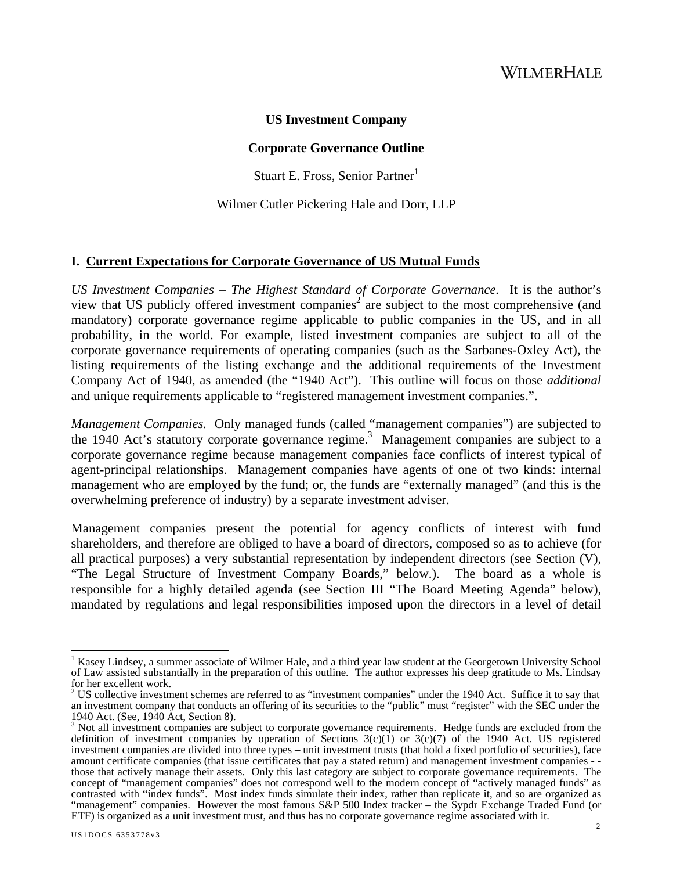#### **US Investment Company**

#### **Corporate Governance Outline**

Stuart E. Fross, Senior Partner<sup>1</sup>

Wilmer Cutler Pickering Hale and Dorr, LLP

#### **I. Current Expectations for Corporate Governance of US Mutual Funds**

*US Investment Companies – The Highest Standard of Corporate Governance.* It is the author's view that US publicly offered investment companies<sup>2</sup> are subject to the most comprehensive (and mandatory) corporate governance regime applicable to public companies in the US, and in all probability, in the world. For example, listed investment companies are subject to all of the corporate governance requirements of operating companies (such as the Sarbanes-Oxley Act), the listing requirements of the listing exchange and the additional requirements of the Investment Company Act of 1940, as amended (the "1940 Act"). This outline will focus on those *additional*  and unique requirements applicable to "registered management investment companies.".

*Management Companies.* Only managed funds (called "management companies") are subjected to the 1940 Act's statutory corporate governance regime.<sup>3</sup> Management companies are subject to a corporate governance regime because management companies face conflicts of interest typical of agent-principal relationships. Management companies have agents of one of two kinds: internal management who are employed by the fund; or, the funds are "externally managed" (and this is the overwhelming preference of industry) by a separate investment adviser.

Management companies present the potential for agency conflicts of interest with fund shareholders, and therefore are obliged to have a board of directors, composed so as to achieve (for all practical purposes) a very substantial representation by independent directors (see Section (V), "The Legal Structure of Investment Company Boards," below.). The board as a whole is responsible for a highly detailed agenda (see Section III "The Board Meeting Agenda" below), mandated by regulations and legal responsibilities imposed upon the directors in a level of detail

 $\overline{1}$ <sup>1</sup> Kasey Lindsey, a summer associate of Wilmer Hale, and a third year law student at the Georgetown University School of Law assisted substantially in the preparation of this outline. The author expresses his deep gratitude to Ms. Lindsay for her excellent work.

 $2^{2}$  US collective investment schemes are referred to as "investment companies" under the 1940 Act. Suffice it to say that an investment company that conducts an offering of its securities to the "public" must "register" with the SEC under the 1940 Act. (See, 1940 Act. Section 8).

<sup>1940</sup> Act. (See, 1940 Act, Section 8).<br><sup>3</sup> Not all investment companies are subject to corporate governance requirements. Hedge funds are excluded from the definition of investment companies by operation of Sections  $3(c)(1)$  or  $3(c)(7)$  of the 1940 Act. US registered investment companies are divided into three types – unit investment trusts (that hold a fixed portfolio of securities), face amount certificate companies (that issue certificates that pay a stated return) and management investment companies - those that actively manage their assets. Only this last category are subject to corporate governance requirements. The concept of "management companies" does not correspond well to the modern concept of "actively managed funds" as contrasted with "index funds". Most index funds simulate their index, rather than replicate it, and so are organized as "management" companies. However the most famous S&P 500 Index tracker – the Sypdr Exchange Traded Fund (or ETF) is organized as a unit investment trust, and thus has no corporate governance regime associated with it.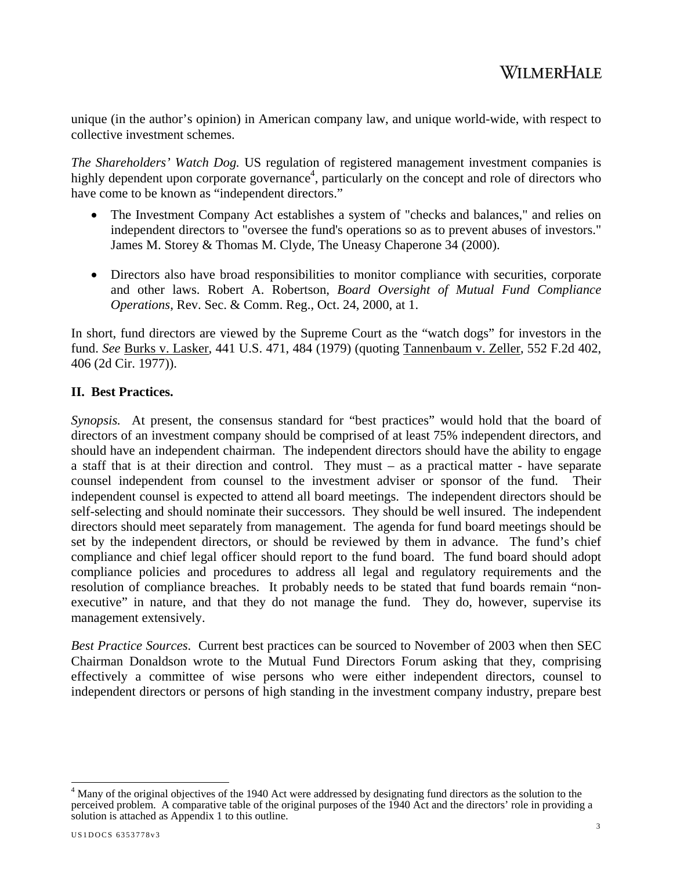unique (in the author's opinion) in American company law, and unique world-wide, with respect to collective investment schemes.

*The Shareholders' Watch Dog.* US regulation of registered management investment companies is highly dependent upon corporate governance<sup>4</sup>, particularly on the concept and role of directors who have come to be known as "independent directors."

- The Investment Company Act establishes a system of "checks and balances," and relies on independent directors to "oversee the fund's operations so as to prevent abuses of investors." James M. Storey & Thomas M. Clyde, The Uneasy Chaperone 34 (2000).
- Directors also have broad responsibilities to monitor compliance with securities, corporate and other laws. Robert A. Robertson, *Board Oversight of Mutual Fund Compliance Operations*, Rev. Sec. & Comm. Reg., Oct. 24, 2000, at 1.

In short, fund directors are viewed by the Supreme Court as the "watch dogs" for investors in the fund. *See* Burks v. Lasker, 441 U.S. 471, 484 (1979) (quoting Tannenbaum v. Zeller, 552 F.2d 402, 406 (2d Cir. 1977)).

### **II. Best Practices.**

*Synopsis.* At present, the consensus standard for "best practices" would hold that the board of directors of an investment company should be comprised of at least 75% independent directors, and should have an independent chairman. The independent directors should have the ability to engage a staff that is at their direction and control. They must – as a practical matter - have separate counsel independent from counsel to the investment adviser or sponsor of the fund. Their independent counsel is expected to attend all board meetings. The independent directors should be self-selecting and should nominate their successors. They should be well insured. The independent directors should meet separately from management. The agenda for fund board meetings should be set by the independent directors, or should be reviewed by them in advance. The fund's chief compliance and chief legal officer should report to the fund board. The fund board should adopt compliance policies and procedures to address all legal and regulatory requirements and the resolution of compliance breaches. It probably needs to be stated that fund boards remain "nonexecutive" in nature, and that they do not manage the fund. They do, however, supervise its management extensively.

*Best Practice Sources*. Current best practices can be sourced to November of 2003 when then SEC Chairman Donaldson wrote to the Mutual Fund Directors Forum asking that they, comprising effectively a committee of wise persons who were either independent directors, counsel to independent directors or persons of high standing in the investment company industry, prepare best

<sup>&</sup>lt;sup>4</sup> Many of the original objectives of the 1940 Act were addressed by designating fund directors as the solution to the perceived problem. A comparative table of the original purposes of the 1940 Act and the directors' role in providing a solution is attached as Appendix 1 to this outline.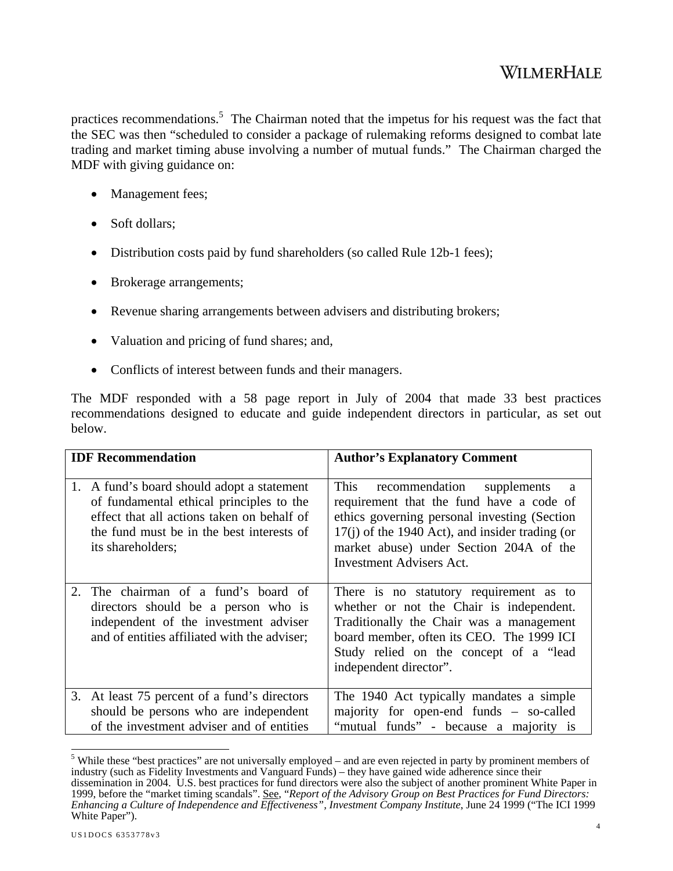practices recommendations.<sup>5</sup> The Chairman noted that the impetus for his request was the fact that the SEC was then "scheduled to consider a package of rulemaking reforms designed to combat late trading and market timing abuse involving a number of mutual funds." The Chairman charged the MDF with giving guidance on:

- Management fees;
- Soft dollars;
- Distribution costs paid by fund shareholders (so called Rule 12b-1 fees);
- Brokerage arrangements;
- Revenue sharing arrangements between advisers and distributing brokers;
- Valuation and pricing of fund shares; and,
- Conflicts of interest between funds and their managers.

The MDF responded with a 58 page report in July of 2004 that made 33 best practices recommendations designed to educate and guide independent directors in particular, as set out below.

| <b>IDF</b> Recommendation                                                                                                                                                                                 | <b>Author's Explanatory Comment</b>                                                                                                                                                                                                                                    |
|-----------------------------------------------------------------------------------------------------------------------------------------------------------------------------------------------------------|------------------------------------------------------------------------------------------------------------------------------------------------------------------------------------------------------------------------------------------------------------------------|
| 1.<br>A fund's board should adopt a statement<br>of fundamental ethical principles to the<br>effect that all actions taken on behalf of<br>the fund must be in the best interests of<br>its shareholders; | This<br>recommendation supplements<br>a<br>requirement that the fund have a code of<br>ethics governing personal investing (Section<br>$17(i)$ of the 1940 Act), and insider trading (or<br>market abuse) under Section 204A of the<br><b>Investment Advisers Act.</b> |
| 2. The chairman of a fund's board of<br>directors should be a person who is<br>independent of the investment adviser<br>and of entities affiliated with the adviser;                                      | There is no statutory requirement as to<br>whether or not the Chair is independent.<br>Traditionally the Chair was a management<br>board member, often its CEO. The 1999 ICI<br>Study relied on the concept of a "lead<br>independent director".                       |
| 3. At least 75 percent of a fund's directors<br>should be persons who are independent<br>of the investment adviser and of entities                                                                        | The 1940 Act typically mandates a simple<br>majority for open-end funds – so-called<br>"mutual funds" - because a majority is                                                                                                                                          |

<sup>&</sup>lt;sup>5</sup> While these "best practices" are not universally employed – and are even rejected in party by prominent members of industry (such as Fidelity Investments and Vanguard Funds) – they have gained wide adherence since their dissemination in 2004. U.S. best practices for fund directors were also the subject of another prominent White Paper in 1999, before the "market timing scandals". See, "*Report of the Advisory Group on Best Practices for Fund Directors: Enhancing a Culture of Independence and Effectiveness", Investment Company Institute*, June 24 1999 ("The ICI 1999 White Paper").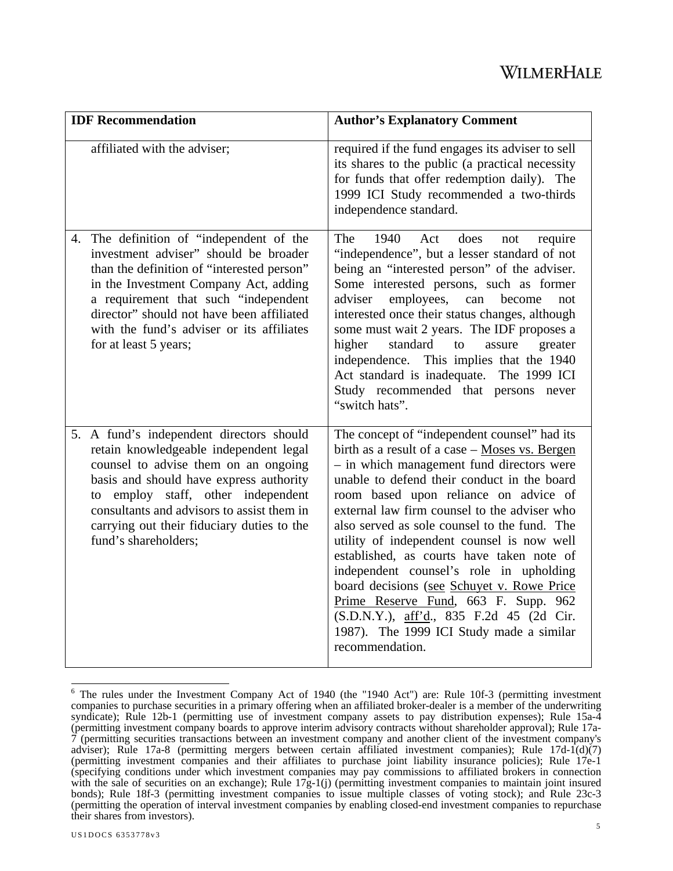| <b>IDF</b> Recommendation                                                                                                                                                                                                                                                                                                           | <b>Author's Explanatory Comment</b>                                                                                                                                                                                                                                                                                                                                                                                                                                                                                                                                                                                                                                        |
|-------------------------------------------------------------------------------------------------------------------------------------------------------------------------------------------------------------------------------------------------------------------------------------------------------------------------------------|----------------------------------------------------------------------------------------------------------------------------------------------------------------------------------------------------------------------------------------------------------------------------------------------------------------------------------------------------------------------------------------------------------------------------------------------------------------------------------------------------------------------------------------------------------------------------------------------------------------------------------------------------------------------------|
| affiliated with the adviser;                                                                                                                                                                                                                                                                                                        | required if the fund engages its adviser to sell<br>its shares to the public (a practical necessity<br>for funds that offer redemption daily). The<br>1999 ICI Study recommended a two-thirds<br>independence standard.                                                                                                                                                                                                                                                                                                                                                                                                                                                    |
| 4. The definition of "independent of the<br>investment adviser" should be broader<br>than the definition of "interested person"<br>in the Investment Company Act, adding<br>a requirement that such "independent<br>director" should not have been affiliated<br>with the fund's adviser or its affiliates<br>for at least 5 years; | The<br>1940<br>Act<br>does<br>require<br>not<br>"independence", but a lesser standard of not<br>being an "interested person" of the adviser.<br>Some interested persons, such as former<br>employees,<br>adviser<br>can<br>become<br>not<br>interested once their status changes, although<br>some must wait 2 years. The IDF proposes a<br>higher<br>standard<br>to<br>assure<br>greater<br>independence. This implies that the 1940<br>Act standard is inadequate. The 1999 ICI<br>Study recommended that persons never<br>"switch hats".                                                                                                                                |
| 5. A fund's independent directors should<br>retain knowledgeable independent legal<br>counsel to advise them on an ongoing<br>basis and should have express authority<br>employ staff, other independent<br>to<br>consultants and advisors to assist them in<br>carrying out their fiduciary duties to the<br>fund's shareholders;  | The concept of "independent counsel" had its<br>birth as a result of a case - Moses vs. Bergen<br>- in which management fund directors were<br>unable to defend their conduct in the board<br>room based upon reliance on advice of<br>external law firm counsel to the adviser who<br>also served as sole counsel to the fund. The<br>utility of independent counsel is now well<br>established, as courts have taken note of<br>independent counsel's role in upholding<br>board decisions (see Schuyet v. Rowe Price<br>Prime Reserve Fund, 663 F. Supp. 962<br>(S.D.N.Y.), aff'd., 835 F.2d 45 (2d Cir.<br>1987). The 1999 ICI Study made a similar<br>recommendation. |

<sup>&</sup>lt;sup>6</sup> The rules under the Investment Company Act of 1940 (the "1940 Act") are: Rule 10f-3 (permitting investment companies to purchase securities in a primary offering when an affiliated broker-dealer is a member of the underwriting syndicate); Rule 12b-1 (permitting use of investment company assets to pay distribution expenses); Rule 15a-4 (permitting investment company boards to approve interim advisory contracts without shareholder approval); Rule 17a-7 (permitting securities transactions between an investment company and another client of the investment company's adviser); Rule 17a-8 (permitting mergers between certain affiliated investment companies); Rule 17d-1(d)(7) (permitting investment companies and their affiliates to purchase joint liability insurance policies); Rule 17e-1 (specifying conditions under which investment companies may pay commissions to affiliated brokers in connection with the sale of securities on an exchange); Rule  $17g-1(i)$  (permitting investment companies to maintain joint insured bonds); Rule 18f-3 (permitting investment companies to issue multiple classes of voting stock); and Rule 23c-3 (permitting the operation of interval investment companies by enabling closed-end investment companies to repurchase their shares from investors).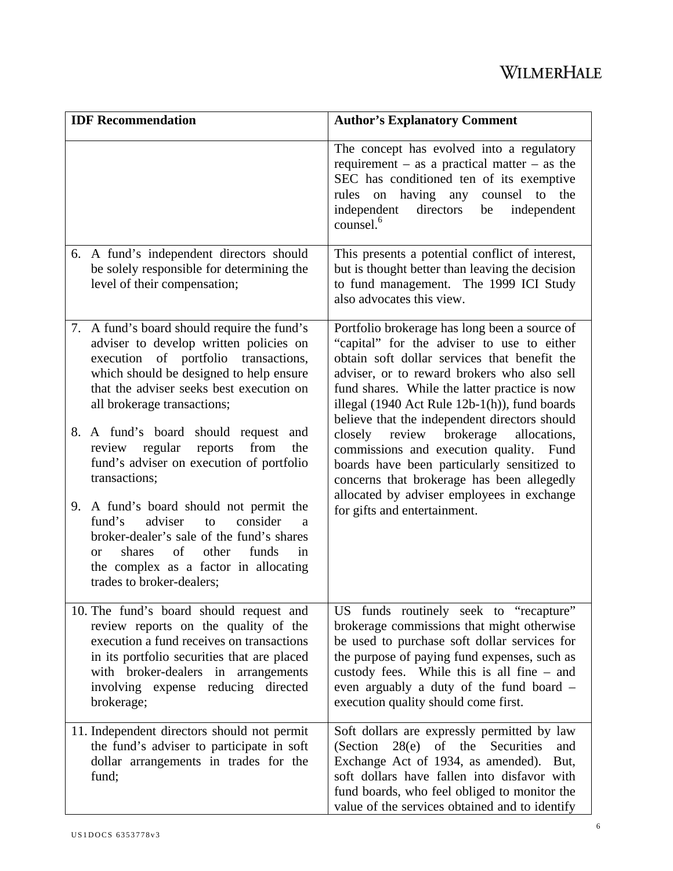| <b>IDF</b> Recommendation                                                                                                                                                                                                                                               | <b>Author's Explanatory Comment</b>                                                                                                                                                                                                                                                                                                           |
|-------------------------------------------------------------------------------------------------------------------------------------------------------------------------------------------------------------------------------------------------------------------------|-----------------------------------------------------------------------------------------------------------------------------------------------------------------------------------------------------------------------------------------------------------------------------------------------------------------------------------------------|
|                                                                                                                                                                                                                                                                         | The concept has evolved into a regulatory<br>requirement – as a practical matter – as the<br>SEC has conditioned ten of its exemptive<br>rules on having any counsel to the<br>independent<br>directors<br>be<br>independent<br>counsel. <sup>6</sup>                                                                                         |
| 6. A fund's independent directors should<br>be solely responsible for determining the<br>level of their compensation;                                                                                                                                                   | This presents a potential conflict of interest,<br>but is thought better than leaving the decision<br>to fund management. The 1999 ICI Study<br>also advocates this view.                                                                                                                                                                     |
| 7. A fund's board should require the fund's<br>adviser to develop written policies on<br>execution of portfolio transactions,<br>which should be designed to help ensure<br>that the adviser seeks best execution on<br>all brokerage transactions;                     | Portfolio brokerage has long been a source of<br>"capital" for the adviser to use to either<br>obtain soft dollar services that benefit the<br>adviser, or to reward brokers who also sell<br>fund shares. While the latter practice is now<br>illegal (1940 Act Rule 12b-1(h)), fund boards<br>believe that the independent directors should |
| 8. A fund's board should request<br>and<br>regular<br>reports<br>from<br>the<br>review<br>fund's adviser on execution of portfolio<br>transactions;                                                                                                                     | review<br>brokerage<br>closely<br>allocations,<br>commissions and execution quality. Fund<br>boards have been particularly sensitized to<br>concerns that brokerage has been allegedly                                                                                                                                                        |
| 9. A fund's board should not permit the<br>consider<br>fund's<br>adviser<br>to<br>a<br>broker-dealer's sale of the fund's shares<br>of<br>other<br>shares<br>funds<br>in<br><b>or</b><br>the complex as a factor in allocating<br>trades to broker-dealers;             | allocated by adviser employees in exchange<br>for gifts and entertainment.                                                                                                                                                                                                                                                                    |
| 10. The fund's board should request and<br>review reports on the quality of the<br>execution a fund receives on transactions<br>in its portfolio securities that are placed<br>with broker-dealers in arrangements<br>involving expense reducing directed<br>brokerage; | US funds routinely seek to "recapture"<br>brokerage commissions that might otherwise<br>be used to purchase soft dollar services for<br>the purpose of paying fund expenses, such as<br>custody fees. While this is all fine – and<br>even arguably a duty of the fund board -<br>execution quality should come first.                        |
| 11. Independent directors should not permit<br>the fund's adviser to participate in soft<br>dollar arrangements in trades for the<br>fund;                                                                                                                              | Soft dollars are expressly permitted by law<br>$28(e)$ of the Securities<br>(Section<br>and<br>Exchange Act of 1934, as amended).<br>But,<br>soft dollars have fallen into disfavor with<br>fund boards, who feel obliged to monitor the<br>value of the services obtained and to identify                                                    |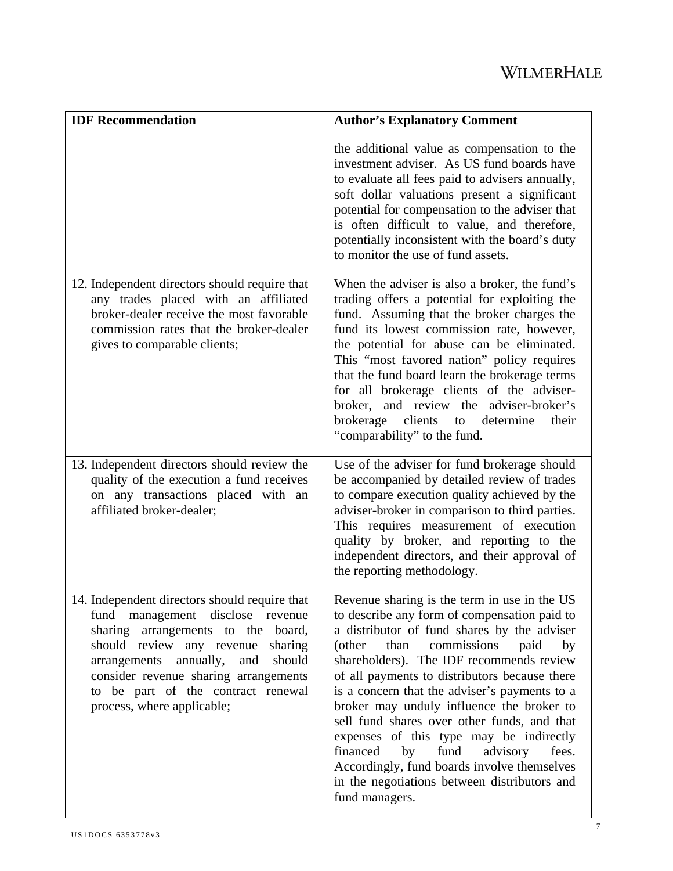| <b>IDF</b> Recommendation                                                                                                                                                                                                                                                                                               | <b>Author's Explanatory Comment</b>                                                                                                                                                                                                                                                                                                                                                                                                                                                                                                                                                                                                             |
|-------------------------------------------------------------------------------------------------------------------------------------------------------------------------------------------------------------------------------------------------------------------------------------------------------------------------|-------------------------------------------------------------------------------------------------------------------------------------------------------------------------------------------------------------------------------------------------------------------------------------------------------------------------------------------------------------------------------------------------------------------------------------------------------------------------------------------------------------------------------------------------------------------------------------------------------------------------------------------------|
|                                                                                                                                                                                                                                                                                                                         | the additional value as compensation to the<br>investment adviser. As US fund boards have<br>to evaluate all fees paid to advisers annually,<br>soft dollar valuations present a significant<br>potential for compensation to the adviser that<br>is often difficult to value, and therefore,<br>potentially inconsistent with the board's duty<br>to monitor the use of fund assets.                                                                                                                                                                                                                                                           |
| 12. Independent directors should require that<br>any trades placed with an affiliated<br>broker-dealer receive the most favorable<br>commission rates that the broker-dealer<br>gives to comparable clients;                                                                                                            | When the adviser is also a broker, the fund's<br>trading offers a potential for exploiting the<br>fund. Assuming that the broker charges the<br>fund its lowest commission rate, however,<br>the potential for abuse can be eliminated.<br>This "most favored nation" policy requires<br>that the fund board learn the brokerage terms<br>for all brokerage clients of the adviser-<br>broker, and review the adviser-broker's<br>brokerage clients<br>to determine<br>their<br>"comparability" to the fund.                                                                                                                                    |
| 13. Independent directors should review the<br>quality of the execution a fund receives<br>on any transactions placed with an<br>affiliated broker-dealer;                                                                                                                                                              | Use of the adviser for fund brokerage should<br>be accompanied by detailed review of trades<br>to compare execution quality achieved by the<br>adviser-broker in comparison to third parties.<br>This requires measurement of execution<br>quality by broker, and reporting to the<br>independent directors, and their approval of<br>the reporting methodology.                                                                                                                                                                                                                                                                                |
| 14. Independent directors should require that<br>fund management disclose revenue<br>sharing arrangements to the board,<br>should review any revenue sharing<br>annually,<br>and<br>should<br>arrangements<br>consider revenue sharing arrangements<br>to be part of the contract renewal<br>process, where applicable; | Revenue sharing is the term in use in the US<br>to describe any form of compensation paid to<br>a distributor of fund shares by the adviser<br>than<br>commissions<br>paid<br>(other<br>by<br>shareholders). The IDF recommends review<br>of all payments to distributors because there<br>is a concern that the adviser's payments to a<br>broker may unduly influence the broker to<br>sell fund shares over other funds, and that<br>expenses of this type may be indirectly<br>financed<br>fund<br>by<br>advisory<br>fees.<br>Accordingly, fund boards involve themselves<br>in the negotiations between distributors and<br>fund managers. |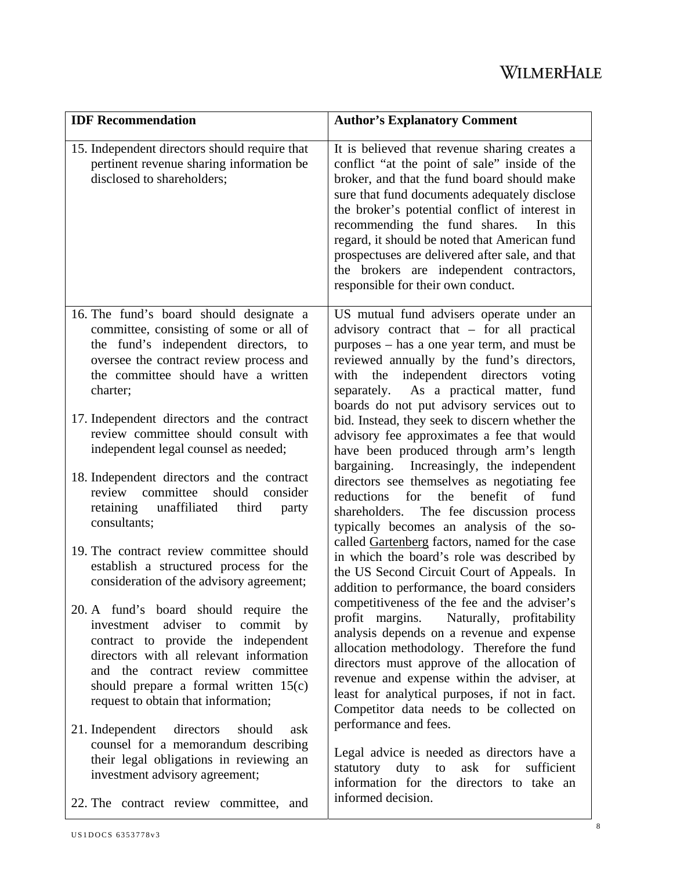| <b>IDF</b> Recommendation                                                                                                                                                                                                                                                                | <b>Author's Explanatory Comment</b>                                                                                                                                                                                                                                                                                                                                                                                                                                               |
|------------------------------------------------------------------------------------------------------------------------------------------------------------------------------------------------------------------------------------------------------------------------------------------|-----------------------------------------------------------------------------------------------------------------------------------------------------------------------------------------------------------------------------------------------------------------------------------------------------------------------------------------------------------------------------------------------------------------------------------------------------------------------------------|
| 15. Independent directors should require that<br>pertinent revenue sharing information be<br>disclosed to shareholders;                                                                                                                                                                  | It is believed that revenue sharing creates a<br>conflict "at the point of sale" inside of the<br>broker, and that the fund board should make<br>sure that fund documents adequately disclose<br>the broker's potential conflict of interest in<br>recommending the fund shares.<br>In this<br>regard, it should be noted that American fund<br>prospectuses are delivered after sale, and that<br>the brokers are independent contractors,<br>responsible for their own conduct. |
| 16. The fund's board should designate a<br>committee, consisting of some or all of<br>the fund's independent directors, to<br>oversee the contract review process and<br>the committee should have a written<br>charter;                                                                 | US mutual fund advisers operate under an<br>advisory contract that - for all practical<br>purposes – has a one year term, and must be<br>reviewed annually by the fund's directors,<br>with the independent directors voting<br>separately. As a practical matter, fund                                                                                                                                                                                                           |
| 17. Independent directors and the contract<br>review committee should consult with<br>independent legal counsel as needed;                                                                                                                                                               | boards do not put advisory services out to<br>bid. Instead, they seek to discern whether the<br>advisory fee approximates a fee that would<br>have been produced through arm's length                                                                                                                                                                                                                                                                                             |
| 18. Independent directors and the contract<br>committee<br>should<br>consider<br>review<br>unaffiliated<br>retaining<br>third<br>party<br>consultants;                                                                                                                                   | bargaining. Increasingly, the independent<br>directors see themselves as negotiating fee<br>reductions<br>for<br>the<br>benefit of fund<br>shareholders. The fee discussion process<br>typically becomes an analysis of the so-<br>called Gartenberg factors, named for the case                                                                                                                                                                                                  |
| 19. The contract review committee should<br>establish a structured process for the<br>consideration of the advisory agreement;                                                                                                                                                           | in which the board's role was described by<br>the US Second Circuit Court of Appeals. In<br>addition to performance, the board considers                                                                                                                                                                                                                                                                                                                                          |
| 20. A fund's board should require<br>the<br>investment adviser to<br>commit<br>by<br>contract to provide the independent<br>directors with all relevant information<br>and the contract review committee<br>should prepare a formal written 15(c)<br>request to obtain that information; | competitiveness of the fee and the adviser's<br>Naturally, profitability<br>profit margins.<br>analysis depends on a revenue and expense<br>allocation methodology. Therefore the fund<br>directors must approve of the allocation of<br>revenue and expense within the adviser, at<br>least for analytical purposes, if not in fact.<br>Competitor data needs to be collected on                                                                                                 |
| 21. Independent directors<br>should<br>ask<br>counsel for a memorandum describing<br>their legal obligations in reviewing an<br>investment advisory agreement;<br>22. The contract review committee, and                                                                                 | performance and fees.<br>Legal advice is needed as directors have a<br>statutory duty<br>to ask for<br>sufficient<br>information for the directors to take an<br>informed decision.                                                                                                                                                                                                                                                                                               |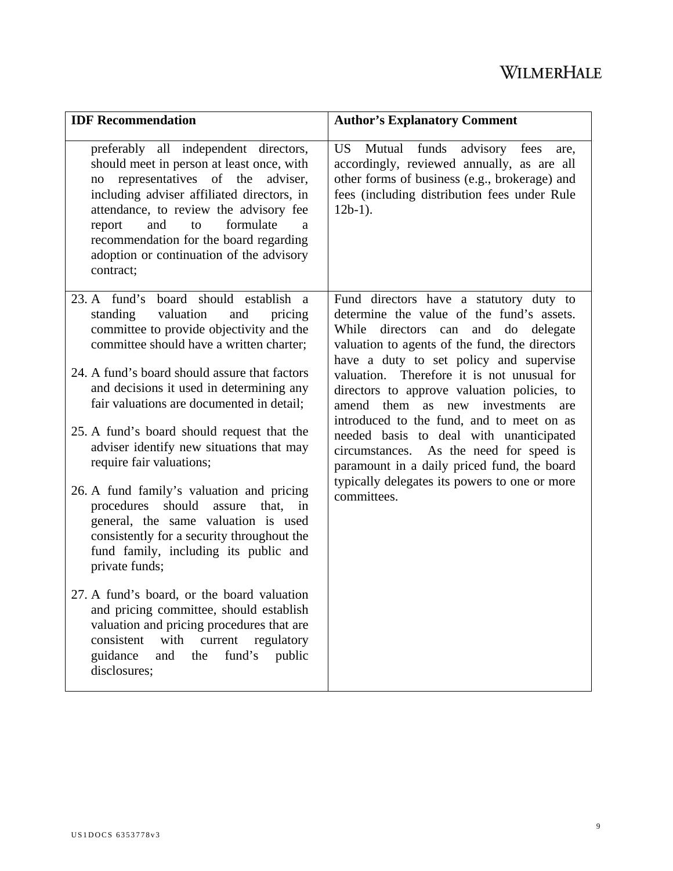| <b>IDF</b> Recommendation                                                                                                                                                                                                                                                                                                                                    | <b>Author's Explanatory Comment</b>                                                                                                                                                                                      |
|--------------------------------------------------------------------------------------------------------------------------------------------------------------------------------------------------------------------------------------------------------------------------------------------------------------------------------------------------------------|--------------------------------------------------------------------------------------------------------------------------------------------------------------------------------------------------------------------------|
| preferably all independent directors,<br>should meet in person at least once, with<br>no representatives of the adviser,<br>including adviser affiliated directors, in<br>attendance, to review the advisory fee<br>formulate<br>and<br>to<br>report<br>a<br>recommendation for the board regarding<br>adoption or continuation of the advisory<br>contract; | funds<br>advisory fees<br>US.<br>Mutual<br>are,<br>accordingly, reviewed annually, as are all<br>other forms of business (e.g., brokerage) and<br>fees (including distribution fees under Rule<br>$12b-1$ ).             |
| 23. A fund's board should establish a<br>valuation<br>standing<br>and<br>pricing<br>committee to provide objectivity and the<br>committee should have a written charter;                                                                                                                                                                                     | Fund directors have a statutory duty to<br>determine the value of the fund's assets.<br>While directors can and do delegate<br>valuation to agents of the fund, the directors<br>have a duty to set policy and supervise |
| 24. A fund's board should assure that factors<br>and decisions it used in determining any<br>fair valuations are documented in detail;                                                                                                                                                                                                                       | valuation. Therefore it is not unusual for<br>directors to approve valuation policies, to<br>amend them as new investments<br>are                                                                                        |
| 25. A fund's board should request that the<br>adviser identify new situations that may<br>require fair valuations;                                                                                                                                                                                                                                           | introduced to the fund, and to meet on as<br>needed basis to deal with unanticipated<br>circumstances. As the need for speed is<br>paramount in a daily priced fund, the board                                           |
| 26. A fund family's valuation and pricing<br>should<br>procedures<br>assure<br>that,<br>in<br>general, the same valuation is used<br>consistently for a security throughout the<br>fund family, including its public and<br>private funds;                                                                                                                   | typically delegates its powers to one or more<br>committees.                                                                                                                                                             |
| 27. A fund's board, or the board valuation<br>and pricing committee, should establish<br>valuation and pricing procedures that are<br>consistent<br>with<br>current<br>regulatory<br>and<br>the<br>fund's<br>guidance<br>public<br>disclosures;                                                                                                              |                                                                                                                                                                                                                          |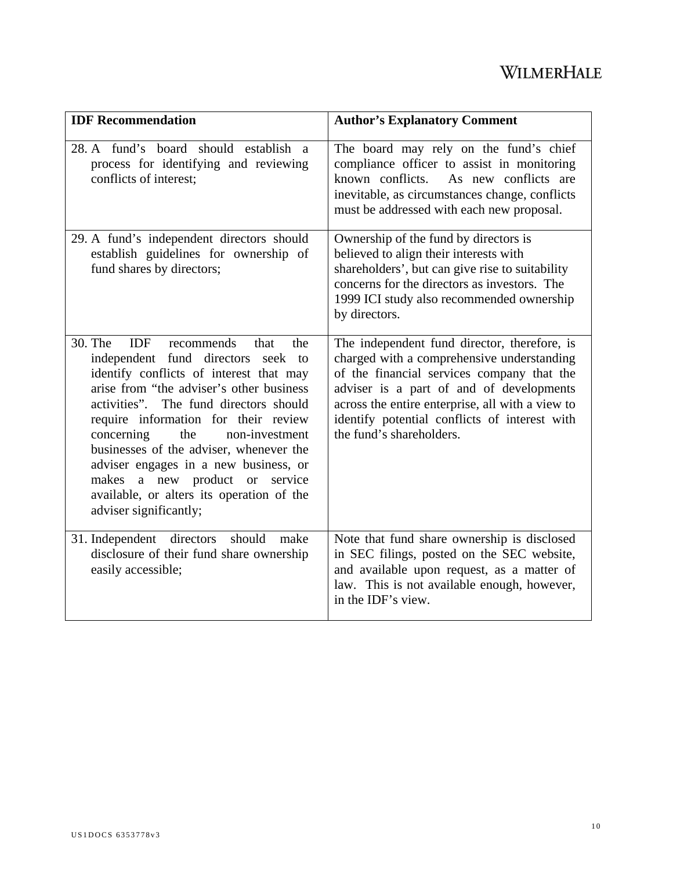| <b>IDF</b> Recommendation                                                                                                                                                                                                                                                                                                                                                                                                                                                                                      | <b>Author's Explanatory Comment</b>                                                                                                                                                                                                                                                                                   |
|----------------------------------------------------------------------------------------------------------------------------------------------------------------------------------------------------------------------------------------------------------------------------------------------------------------------------------------------------------------------------------------------------------------------------------------------------------------------------------------------------------------|-----------------------------------------------------------------------------------------------------------------------------------------------------------------------------------------------------------------------------------------------------------------------------------------------------------------------|
| 28. A fund's board should establish a<br>process for identifying and reviewing<br>conflicts of interest:                                                                                                                                                                                                                                                                                                                                                                                                       | The board may rely on the fund's chief<br>compliance officer to assist in monitoring<br>known conflicts.<br>As new conflicts are<br>inevitable, as circumstances change, conflicts<br>must be addressed with each new proposal.                                                                                       |
| 29. A fund's independent directors should<br>establish guidelines for ownership of<br>fund shares by directors;                                                                                                                                                                                                                                                                                                                                                                                                | Ownership of the fund by directors is<br>believed to align their interests with<br>shareholders', but can give rise to suitability<br>concerns for the directors as investors. The<br>1999 ICI study also recommended ownership<br>by directors.                                                                      |
| 30. The<br><b>IDF</b><br>that<br>recommends<br>the<br>independent fund directors<br>seek to<br>identify conflicts of interest that may<br>arise from "the adviser's other business<br>activities". The fund directors should<br>require information for their review<br>concerning<br>the<br>non-investment<br>businesses of the adviser, whenever the<br>adviser engages in a new business, or<br>a new product or<br>makes<br>service<br>available, or alters its operation of the<br>adviser significantly; | The independent fund director, therefore, is<br>charged with a comprehensive understanding<br>of the financial services company that the<br>adviser is a part of and of developments<br>across the entire enterprise, all with a view to<br>identify potential conflicts of interest with<br>the fund's shareholders. |
| 31. Independent directors<br>should<br>make<br>disclosure of their fund share ownership<br>easily accessible;                                                                                                                                                                                                                                                                                                                                                                                                  | Note that fund share ownership is disclosed<br>in SEC filings, posted on the SEC website,<br>and available upon request, as a matter of<br>law. This is not available enough, however,<br>in the IDF's view.                                                                                                          |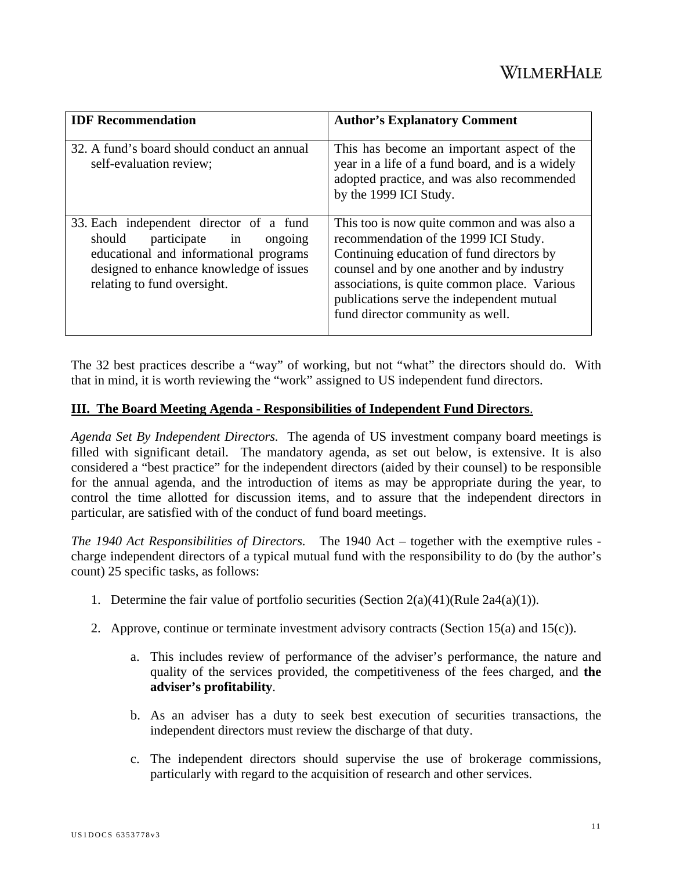| <b>IDF</b> Recommendation                                                                                                                                                                          | <b>Author's Explanatory Comment</b>                                                                                                                                                                                                                                                                              |
|----------------------------------------------------------------------------------------------------------------------------------------------------------------------------------------------------|------------------------------------------------------------------------------------------------------------------------------------------------------------------------------------------------------------------------------------------------------------------------------------------------------------------|
| 32. A fund's board should conduct an annual<br>self-evaluation review;                                                                                                                             | This has become an important aspect of the<br>year in a life of a fund board, and is a widely<br>adopted practice, and was also recommended<br>by the 1999 ICI Study.                                                                                                                                            |
| 33. Each independent director of a fund<br>should<br>participate in<br>ongoing<br>educational and informational programs<br>designed to enhance knowledge of issues<br>relating to fund oversight. | This too is now quite common and was also a<br>recommendation of the 1999 ICI Study.<br>Continuing education of fund directors by<br>counsel and by one another and by industry<br>associations, is quite common place. Various<br>publications serve the independent mutual<br>fund director community as well. |

The 32 best practices describe a "way" of working, but not "what" the directors should do. With that in mind, it is worth reviewing the "work" assigned to US independent fund directors.

#### **III. The Board Meeting Agenda - Responsibilities of Independent Fund Directors**.

*Agenda Set By Independent Directors.* The agenda of US investment company board meetings is filled with significant detail. The mandatory agenda, as set out below, is extensive. It is also considered a "best practice" for the independent directors (aided by their counsel) to be responsible for the annual agenda, and the introduction of items as may be appropriate during the year, to control the time allotted for discussion items, and to assure that the independent directors in particular, are satisfied with of the conduct of fund board meetings.

*The 1940 Act Responsibilities of Directors.* The 1940 Act – together with the exemptive rules charge independent directors of a typical mutual fund with the responsibility to do (by the author's count) 25 specific tasks, as follows:

- 1. Determine the fair value of portfolio securities (Section  $2(a)(41)$ (Rule  $2a4(a)(1)$ ).
- 2. Approve, continue or terminate investment advisory contracts (Section 15(a) and 15(c)).
	- a. This includes review of performance of the adviser's performance, the nature and quality of the services provided, the competitiveness of the fees charged, and **the adviser's profitability**.
	- b. As an adviser has a duty to seek best execution of securities transactions, the independent directors must review the discharge of that duty.
	- c. The independent directors should supervise the use of brokerage commissions, particularly with regard to the acquisition of research and other services.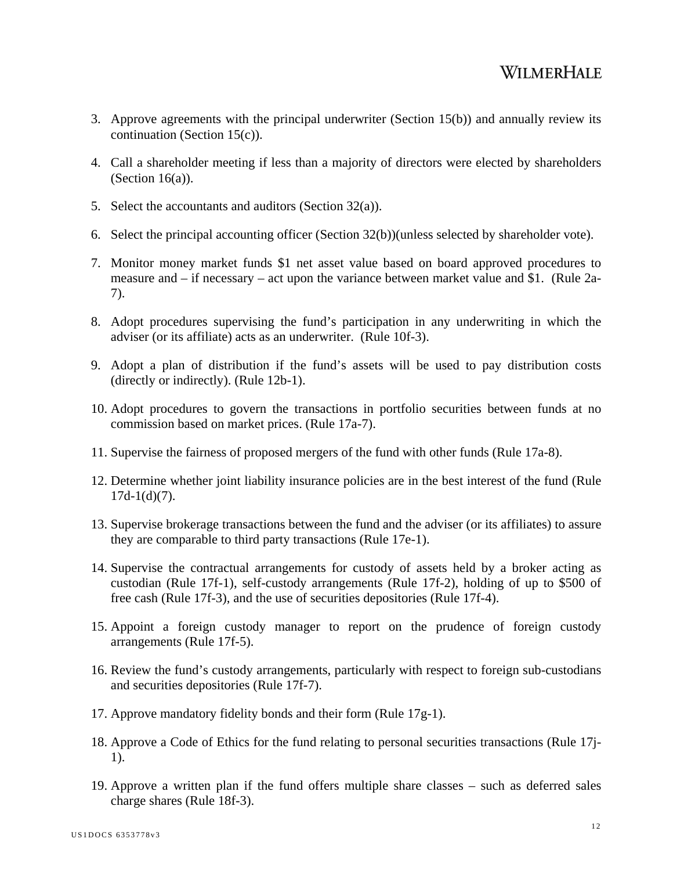- 3. Approve agreements with the principal underwriter (Section 15(b)) and annually review its continuation (Section 15(c)).
- 4. Call a shareholder meeting if less than a majority of directors were elected by shareholders (Section  $16(a)$ ).
- 5. Select the accountants and auditors (Section 32(a)).
- 6. Select the principal accounting officer (Section 32(b))(unless selected by shareholder vote).
- 7. Monitor money market funds \$1 net asset value based on board approved procedures to measure and – if necessary – act upon the variance between market value and \$1. (Rule 2a-7).
- 8. Adopt procedures supervising the fund's participation in any underwriting in which the adviser (or its affiliate) acts as an underwriter. (Rule 10f-3).
- 9. Adopt a plan of distribution if the fund's assets will be used to pay distribution costs (directly or indirectly). (Rule 12b-1).
- 10. Adopt procedures to govern the transactions in portfolio securities between funds at no commission based on market prices. (Rule 17a-7).
- 11. Supervise the fairness of proposed mergers of the fund with other funds (Rule 17a-8).
- 12. Determine whether joint liability insurance policies are in the best interest of the fund (Rule  $17d-1(d)(7)$ .
- 13. Supervise brokerage transactions between the fund and the adviser (or its affiliates) to assure they are comparable to third party transactions (Rule 17e-1).
- 14. Supervise the contractual arrangements for custody of assets held by a broker acting as custodian (Rule 17f-1), self-custody arrangements (Rule 17f-2), holding of up to \$500 of free cash (Rule 17f-3), and the use of securities depositories (Rule 17f-4).
- 15. Appoint a foreign custody manager to report on the prudence of foreign custody arrangements (Rule 17f-5).
- 16. Review the fund's custody arrangements, particularly with respect to foreign sub-custodians and securities depositories (Rule 17f-7).
- 17. Approve mandatory fidelity bonds and their form (Rule 17g-1).
- 18. Approve a Code of Ethics for the fund relating to personal securities transactions (Rule 17j-1).
- 19. Approve a written plan if the fund offers multiple share classes such as deferred sales charge shares (Rule 18f-3).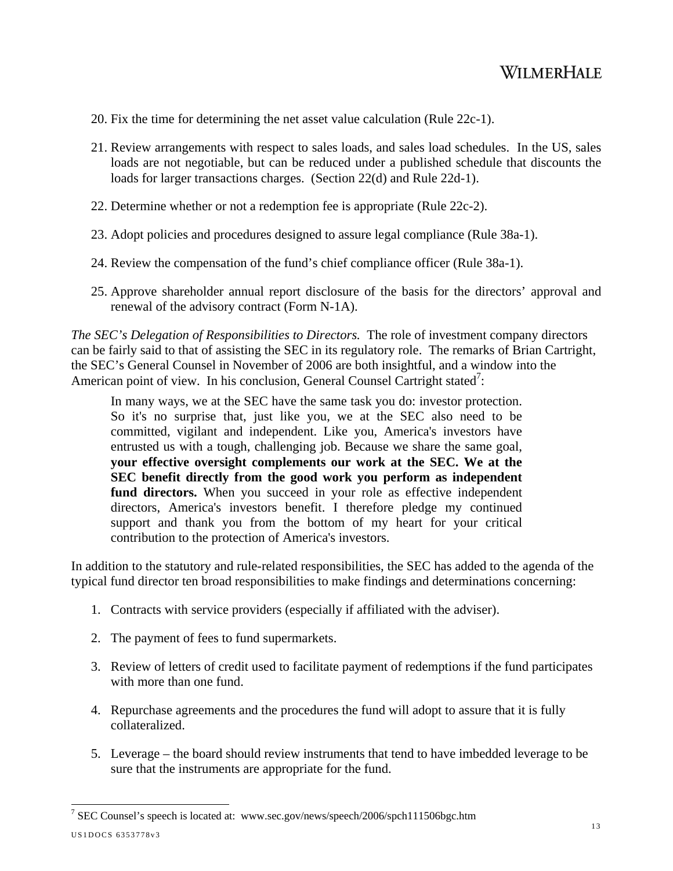- 20. Fix the time for determining the net asset value calculation (Rule 22c-1).
- 21. Review arrangements with respect to sales loads, and sales load schedules. In the US, sales loads are not negotiable, but can be reduced under a published schedule that discounts the loads for larger transactions charges. (Section 22(d) and Rule 22d-1).
- 22. Determine whether or not a redemption fee is appropriate (Rule 22c-2).
- 23. Adopt policies and procedures designed to assure legal compliance (Rule 38a-1).
- 24. Review the compensation of the fund's chief compliance officer (Rule 38a-1).
- 25. Approve shareholder annual report disclosure of the basis for the directors' approval and renewal of the advisory contract (Form N-1A).

*The SEC's Delegation of Responsibilities to Directors.* The role of investment company directors can be fairly said to that of assisting the SEC in its regulatory role. The remarks of Brian Cartright, the SEC's General Counsel in November of 2006 are both insightful, and a window into the American point of view. In his conclusion, General Counsel Cartright stated<sup>7</sup>:

In many ways, we at the SEC have the same task you do: investor protection. So it's no surprise that, just like you, we at the SEC also need to be committed, vigilant and independent. Like you, America's investors have entrusted us with a tough, challenging job. Because we share the same goal, **your effective oversight complements our work at the SEC. We at the SEC benefit directly from the good work you perform as independent fund directors.** When you succeed in your role as effective independent directors, America's investors benefit. I therefore pledge my continued support and thank you from the bottom of my heart for your critical contribution to the protection of America's investors.

In addition to the statutory and rule-related responsibilities, the SEC has added to the agenda of the typical fund director ten broad responsibilities to make findings and determinations concerning:

- 1. Contracts with service providers (especially if affiliated with the adviser).
- 2. The payment of fees to fund supermarkets.
- 3. Review of letters of credit used to facilitate payment of redemptions if the fund participates with more than one fund.
- 4. Repurchase agreements and the procedures the fund will adopt to assure that it is fully collateralized.
- 5. Leverage the board should review instruments that tend to have imbedded leverage to be sure that the instruments are appropriate for the fund.

US1DOCS 6353778v3 <sup>7</sup> SEC Counsel's speech is located at: www.sec.gov/news/speech/2006/spch111506bgc.htm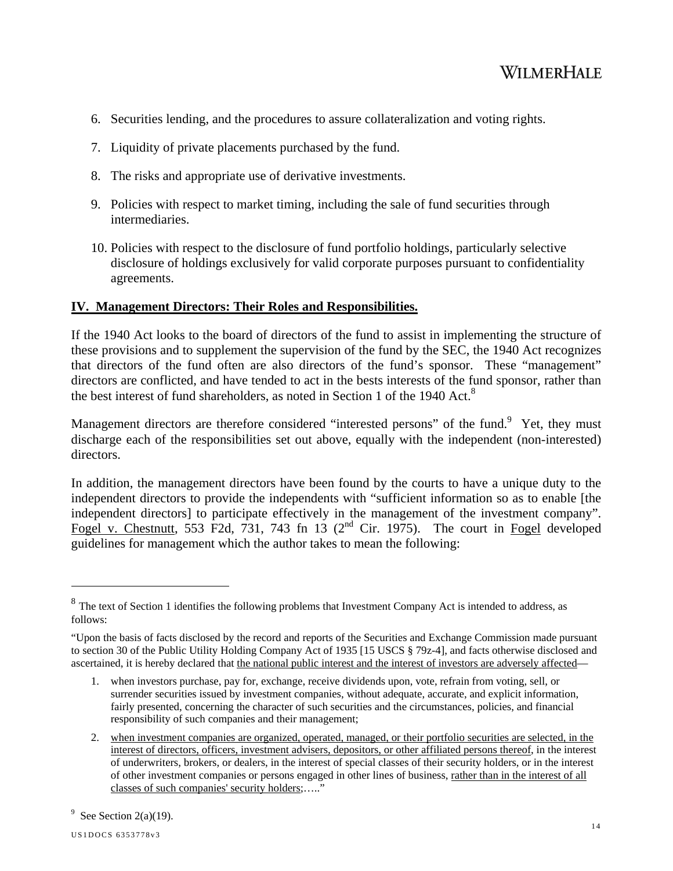- 6. Securities lending, and the procedures to assure collateralization and voting rights.
- 7. Liquidity of private placements purchased by the fund.
- 8. The risks and appropriate use of derivative investments.
- 9. Policies with respect to market timing, including the sale of fund securities through intermediaries.
- 10. Policies with respect to the disclosure of fund portfolio holdings, particularly selective disclosure of holdings exclusively for valid corporate purposes pursuant to confidentiality agreements.

### **IV. Management Directors: Their Roles and Responsibilities.**

If the 1940 Act looks to the board of directors of the fund to assist in implementing the structure of these provisions and to supplement the supervision of the fund by the SEC, the 1940 Act recognizes that directors of the fund often are also directors of the fund's sponsor. These "management" directors are conflicted, and have tended to act in the bests interests of the fund sponsor, rather than the best interest of fund shareholders, as noted in Section 1 of the 1940 Act. $8$ 

Management directors are therefore considered "interested persons" of the fund.<sup>9</sup> Yet, they must discharge each of the responsibilities set out above, equally with the independent (non-interested) directors.

In addition, the management directors have been found by the courts to have a unique duty to the independent directors to provide the independents with "sufficient information so as to enable [the independent directors] to participate effectively in the management of the investment company". Fogel v. Chestnutt, 553 F2d, 731, 743 fn 13 ( $2<sup>nd</sup>$  Cir. 1975). The court in Fogel developed guidelines for management which the author takes to mean the following:

 $\overline{a}$ 

<sup>&</sup>lt;sup>8</sup> The text of Section 1 identifies the following problems that Investment Company Act is intended to address, as follows:

<sup>&</sup>quot;Upon the basis of facts disclosed by the record and reports of the Securities and Exchange Commission made pursuant to section 30 of the Public Utility Holding Company Act of 1935 [15 USCS § 79z-4], and facts otherwise disclosed and ascertained, it is hereby declared that the national public interest and the interest of investors are adversely affected—

<sup>1.</sup> when investors purchase, pay for, exchange, receive dividends upon, vote, refrain from voting, sell, or surrender securities issued by investment companies, without adequate, accurate, and explicit information, fairly presented, concerning the character of such securities and the circumstances, policies, and financial responsibility of such companies and their management;

<sup>2.</sup> when investment companies are organized, operated, managed, or their portfolio securities are selected, in the interest of directors, officers, investment advisers, depositors, or other affiliated persons thereof, in the interest of underwriters, brokers, or dealers, in the interest of special classes of their security holders, or in the interest of other investment companies or persons engaged in other lines of business, rather than in the interest of all classes of such companies' security holders;….."

<sup>&</sup>lt;sup>9</sup> See Section 2(a)(19).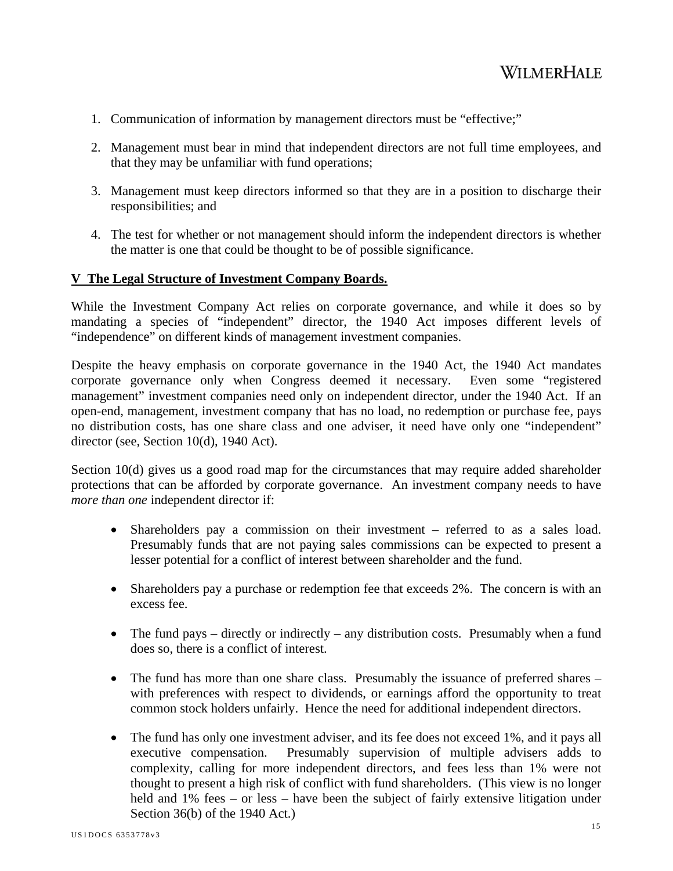- 1. Communication of information by management directors must be "effective;"
- 2. Management must bear in mind that independent directors are not full time employees, and that they may be unfamiliar with fund operations;
- 3. Management must keep directors informed so that they are in a position to discharge their responsibilities; and
- 4. The test for whether or not management should inform the independent directors is whether the matter is one that could be thought to be of possible significance.

#### **V The Legal Structure of Investment Company Boards.**

While the Investment Company Act relies on corporate governance, and while it does so by mandating a species of "independent" director, the 1940 Act imposes different levels of "independence" on different kinds of management investment companies.

Despite the heavy emphasis on corporate governance in the 1940 Act, the 1940 Act mandates corporate governance only when Congress deemed it necessary. Even some "registered management" investment companies need only on independent director, under the 1940 Act. If an open-end, management, investment company that has no load, no redemption or purchase fee, pays no distribution costs, has one share class and one adviser, it need have only one "independent" director (see, Section 10(d), 1940 Act).

Section 10(d) gives us a good road map for the circumstances that may require added shareholder protections that can be afforded by corporate governance. An investment company needs to have *more than one* independent director if:

- Shareholders pay a commission on their investment referred to as a sales load. Presumably funds that are not paying sales commissions can be expected to present a lesser potential for a conflict of interest between shareholder and the fund.
- Shareholders pay a purchase or redemption fee that exceeds 2%. The concern is with an excess fee.
- The fund pays directly or indirectly any distribution costs. Presumably when a fund does so, there is a conflict of interest.
- The fund has more than one share class. Presumably the issuance of preferred shares with preferences with respect to dividends, or earnings afford the opportunity to treat common stock holders unfairly. Hence the need for additional independent directors.
- The fund has only one investment adviser, and its fee does not exceed 1%, and it pays all executive compensation. Presumably supervision of multiple advisers adds to complexity, calling for more independent directors, and fees less than 1% were not thought to present a high risk of conflict with fund shareholders. (This view is no longer held and 1% fees – or less – have been the subject of fairly extensive litigation under Section 36(b) of the 1940 Act.)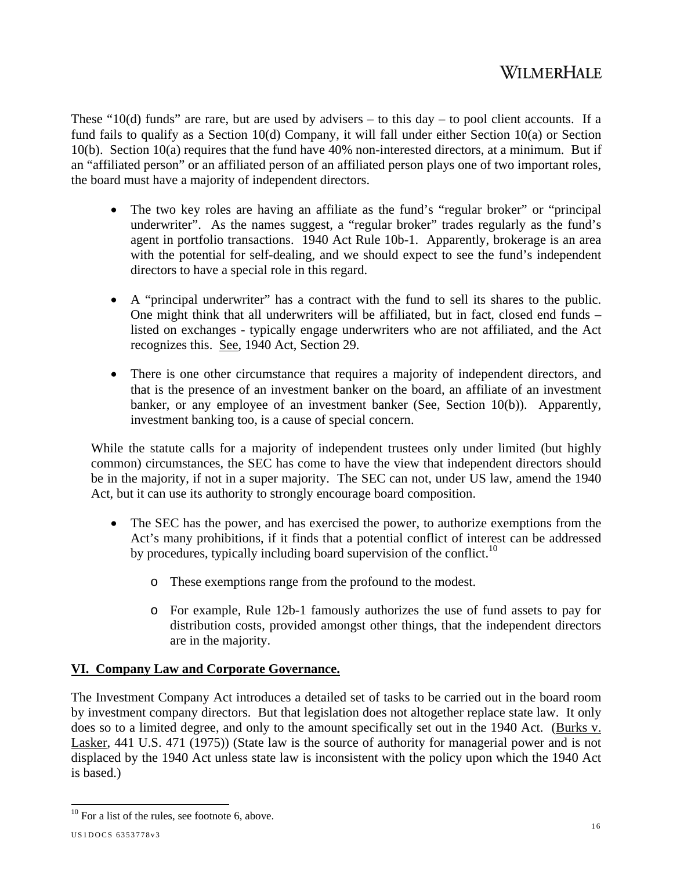These "10(d) funds" are rare, but are used by advisers – to this day – to pool client accounts. If a fund fails to qualify as a Section 10(d) Company, it will fall under either Section 10(a) or Section 10(b). Section 10(a) requires that the fund have 40% non-interested directors, at a minimum. But if an "affiliated person" or an affiliated person of an affiliated person plays one of two important roles, the board must have a majority of independent directors.

- The two key roles are having an affiliate as the fund's "regular broker" or "principal" underwriter". As the names suggest, a "regular broker" trades regularly as the fund's agent in portfolio transactions. 1940 Act Rule 10b-1. Apparently, brokerage is an area with the potential for self-dealing, and we should expect to see the fund's independent directors to have a special role in this regard.
- A "principal underwriter" has a contract with the fund to sell its shares to the public. One might think that all underwriters will be affiliated, but in fact, closed end funds – listed on exchanges - typically engage underwriters who are not affiliated, and the Act recognizes this. See, 1940 Act, Section 29.
- There is one other circumstance that requires a majority of independent directors, and that is the presence of an investment banker on the board, an affiliate of an investment banker, or any employee of an investment banker (See, Section 10(b)). Apparently, investment banking too, is a cause of special concern.

While the statute calls for a majority of independent trustees only under limited (but highly common) circumstances, the SEC has come to have the view that independent directors should be in the majority, if not in a super majority. The SEC can not, under US law, amend the 1940 Act, but it can use its authority to strongly encourage board composition.

- The SEC has the power, and has exercised the power, to authorize exemptions from the Act's many prohibitions, if it finds that a potential conflict of interest can be addressed by procedures, typically including board supervision of the conflict.<sup>10</sup>
	- o These exemptions range from the profound to the modest.
	- o For example, Rule 12b-1 famously authorizes the use of fund assets to pay for distribution costs, provided amongst other things, that the independent directors are in the majority.

### **VI. Company Law and Corporate Governance.**

The Investment Company Act introduces a detailed set of tasks to be carried out in the board room by investment company directors. But that legislation does not altogether replace state law. It only does so to a limited degree, and only to the amount specifically set out in the 1940 Act. (Burks v. Lasker, 441 U.S. 471 (1975)) (State law is the source of authority for managerial power and is not displaced by the 1940 Act unless state law is inconsistent with the policy upon which the 1940 Act is based.)

 $\overline{1}$  $10$  For a list of the rules, see footnote 6, above.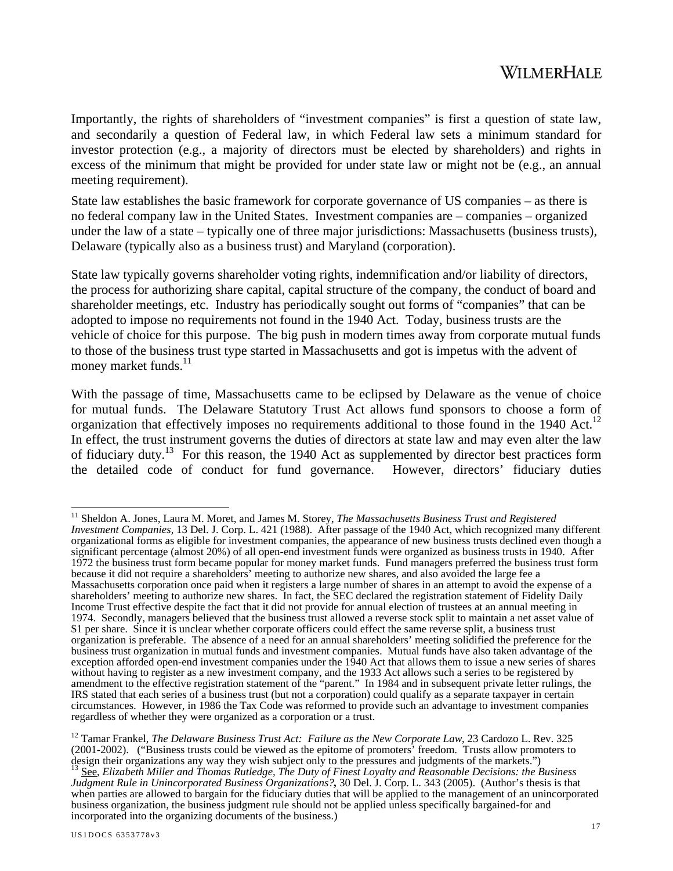Importantly, the rights of shareholders of "investment companies" is first a question of state law, and secondarily a question of Federal law, in which Federal law sets a minimum standard for investor protection (e.g., a majority of directors must be elected by shareholders) and rights in excess of the minimum that might be provided for under state law or might not be (e.g., an annual meeting requirement).

State law establishes the basic framework for corporate governance of US companies – as there is no federal company law in the United States. Investment companies are – companies – organized under the law of a state – typically one of three major jurisdictions: Massachusetts (business trusts), Delaware (typically also as a business trust) and Maryland (corporation).

State law typically governs shareholder voting rights, indemnification and/or liability of directors, the process for authorizing share capital, capital structure of the company, the conduct of board and shareholder meetings, etc. Industry has periodically sought out forms of "companies" that can be adopted to impose no requirements not found in the 1940 Act. Today, business trusts are the vehicle of choice for this purpose. The big push in modern times away from corporate mutual funds to those of the business trust type started in Massachusetts and got is impetus with the advent of money market funds. $11$ 

With the passage of time, Massachusetts came to be eclipsed by Delaware as the venue of choice for mutual funds. The Delaware Statutory Trust Act allows fund sponsors to choose a form of organization that effectively imposes no requirements additional to those found in the 1940 Act.<sup>12</sup> In effect, the trust instrument governs the duties of directors at state law and may even alter the law of fiduciary duty.13 For this reason, the 1940 Act as supplemented by director best practices form the detailed code of conduct for fund governance. However, directors' fiduciary duties

 $\overline{1}$ 

<sup>&</sup>lt;sup>11</sup> Sheldon A. Jones, Laura M. Moret, and James M. Storey, *The Massachusetts Business Trust and Registered Investment Companies,* 13 Del. J. Corp. L. 421 (1988). After passage of the 1940 Act, which recognized many different organizational forms as eligible for investment companies, the appearance of new business trusts declined even though a significant percentage (almost 20%) of all open-end investment funds were organized as business trusts in 1940. After 1972 the business trust form became popular for money market funds. Fund managers preferred the business trust form because it did not require a shareholders' meeting to authorize new shares, and also avoided the large fee a Massachusetts corporation once paid when it registers a large number of shares in an attempt to avoid the expense of a shareholders' meeting to authorize new shares. In fact, the SEC declared the registration statement of Fidelity Daily Income Trust effective despite the fact that it did not provide for annual election of trustees at an annual meeting in 1974. Secondly, managers believed that the business trust allowed a reverse stock split to maintain a net asset value of \$1 per share. Since it is unclear whether corporate officers could effect the same reverse split, a business trust organization is preferable. The absence of a need for an annual shareholders' meeting solidified the preference for the business trust organization in mutual funds and investment companies. Mutual funds have also taken advantage of the exception afforded open-end investment companies under the 1940 Act that allows them to issue a new series of shares without having to register as a new investment company, and the 1933 Act allows such a series to be registered by amendment to the effective registration statement of the "parent." In 1984 and in subsequent private letter rulings, the IRS stated that each series of a business trust (but not a corporation) could qualify as a separate taxpayer in certain circumstances. However, in 1986 the Tax Code was reformed to provide such an advantage to investment companies regardless of whether they were organized as a corporation or a trust.

<sup>&</sup>lt;sup>12</sup> Tamar Frankel, *The Delaware Business Trust Act: Failure as the New Corporate Law*, 23 Cardozo L. Rev. 325 (2001-2002). ("Business trusts could be viewed as the epitome of promoters' freedom. Trusts allow promoters to design their organizations any way they wish subject only to the pressures and judgments of the markets.")

<sup>13</sup> See, *Elizabeth Miller and Thomas Rutledge, The Duty of Finest Loyalty and Reasonable Decisions: the Business Judgment Rule in Unincorporated Business Organizations?,* 30 Del. J. Corp. L. 343 (2005). (Author's thesis is that when parties are allowed to bargain for the fiduciary duties that will be applied to the management of an unincorporated business organization, the business judgment rule should not be applied unless specifically bargained-for and incorporated into the organizing documents of the business.)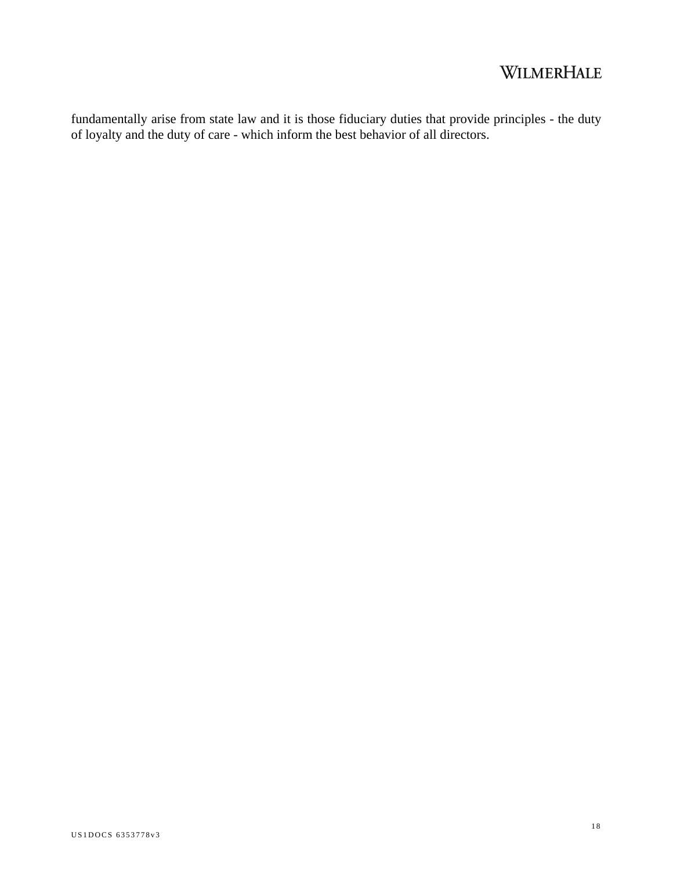fundamentally arise from state law and it is those fiduciary duties that provide principles - the duty of loyalty and the duty of care - which inform the best behavior of all directors.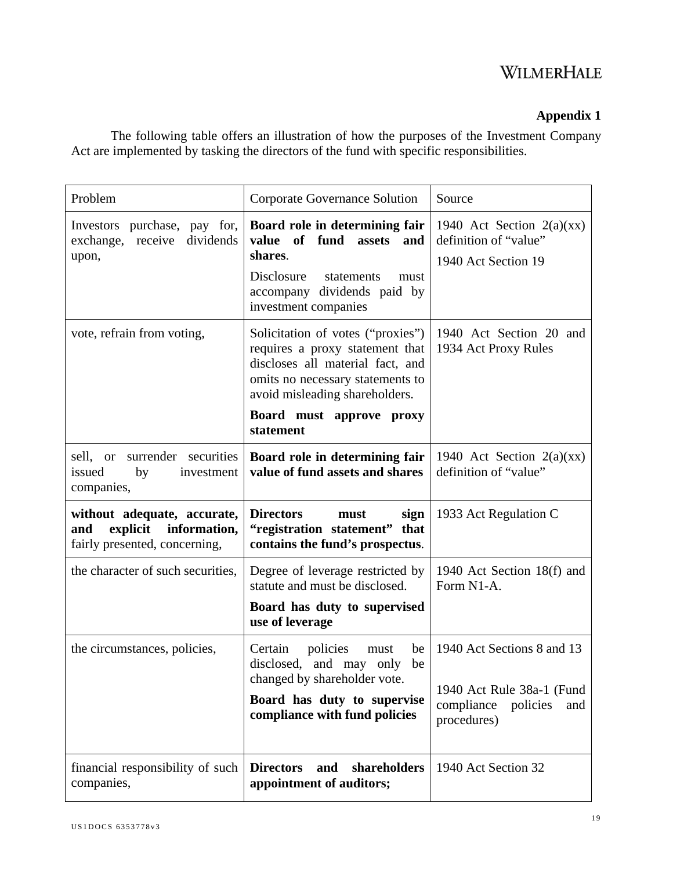### **Appendix 1**

The following table offers an illustration of how the purposes of the Investment Company Act are implemented by tasking the directors of the fund with specific responsibilities.

| Problem                                                                                         | Corporate Governance Solution                                                                                                                                                                              | Source                                                                                                  |
|-------------------------------------------------------------------------------------------------|------------------------------------------------------------------------------------------------------------------------------------------------------------------------------------------------------------|---------------------------------------------------------------------------------------------------------|
| Investors purchase, pay for,<br>exchange, receive dividends<br>upon,                            | Board role in determining fair<br>value of fund<br>assets<br>and<br>shares.<br>Disclosure<br>statements<br>must<br>accompany dividends paid by<br>investment companies                                     | 1940 Act Section $2(a)(xx)$<br>definition of "value"<br>1940 Act Section 19                             |
| vote, refrain from voting,                                                                      | Solicitation of votes ("proxies")<br>requires a proxy statement that<br>discloses all material fact, and<br>omits no necessary statements to<br>avoid misleading shareholders.<br>Board must approve proxy | 1940 Act Section 20 and<br>1934 Act Proxy Rules                                                         |
|                                                                                                 | statement                                                                                                                                                                                                  |                                                                                                         |
| sell, or<br>surrender securities<br>issued<br>by<br>investment<br>companies,                    | Board role in determining fair<br>value of fund assets and shares                                                                                                                                          | 1940 Act Section $2(a)(xx)$<br>definition of "value"                                                    |
| without adequate, accurate,<br>information,<br>and<br>explicit<br>fairly presented, concerning, | <b>Directors</b><br>sign<br>must<br>"registration statement" that<br>contains the fund's prospectus.                                                                                                       | 1933 Act Regulation C                                                                                   |
| the character of such securities,                                                               | Degree of leverage restricted by<br>statute and must be disclosed.                                                                                                                                         | 1940 Act Section 18(f) and<br>Form N1-A.                                                                |
|                                                                                                 | Board has duty to supervised<br>use of leverage                                                                                                                                                            |                                                                                                         |
| the circumstances, policies,                                                                    | Certain<br>policies<br>be<br>must<br>disclosed, and may only<br>be<br>changed by shareholder vote.<br>Board has duty to supervise<br>compliance with fund policies                                         | 1940 Act Sections 8 and 13<br>1940 Act Rule 38a-1 (Fund<br>compliance<br>policies<br>and<br>procedures) |
| financial responsibility of such<br>companies,                                                  | <b>Directors</b><br>shareholders<br>and<br>appointment of auditors;                                                                                                                                        | 1940 Act Section 32                                                                                     |